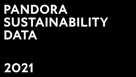# **PANDORA SUSTAINABILITY DATA**

**2021**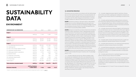## **SUSTAINABILITY DATA**

### **ENVIRONMENT**

| <b>GREENHOUSE GAS EMISSIONS</b>         | Unit                        | 2021    | 2020    | 2019    |
|-----------------------------------------|-----------------------------|---------|---------|---------|
| Scope 1                                 |                             |         |         |         |
|                                         | mtCO,e                      | 1,163   | 1.250   | 1.252   |
| Scope 2                                 |                             |         |         |         |
| Location-based                          | mtCO,e                      | 48,053  | 47,949  | 48,072  |
| Market-based                            | mtCO <sub>2</sub> e         | 20,997  | 22,409  | 49,862  |
| Scope 3                                 |                             |         |         |         |
| C1: Purchased goods and services        | mtCO,e                      | 185,862 | 157,908 | 176,895 |
| C2: Capital goods                       | mtCO <sub>2</sub> e         | 5,487   | 9,121   | 10,222  |
| C3: Fuel- and-energy related activities | mtCO <sub>2</sub> e         | 3,785   | 3.685   | 3,628   |
| C4: Upstream transportation             | mtCO <sub>2</sub> e         | 31,218  | 40,637  | 21,586  |
| C5: Waste generated in operations       | mtCO,e                      | 2,752   | 2,654   | 2,513   |
| C6: Business travel                     | mtCO <sub>2</sub> e         | 36      | 350     | 920     |
| C7: Employee commuting                  | mtCO,e                      | 606     | 606     | 918     |
| C8: Upstream leased assets              | mtCO,e                      | 1,557   | 1,298   | 1,421   |
| C14: Franchises                         | mtCO <sub>2</sub> e         | 23,987  | 26,158  | 27,559  |
| Total Scope 3                           | mtCO <sub>2</sub> e         | 255,290 | 242,416 | 245,663 |
| Total emissions (marked-based)          | mtCO <sub>se</sub>          | 277,450 | 266,075 | 296,777 |
|                                         | mtCO <sub>2</sub> e/revenue |         |         |         |
| <b>Emissions intensity</b>              | in DKK million              | 11.86   | 14.00   | 13.57   |

<sup>1</sup> Scopes 1,2 and 3 are within the audit assurance scope. See the Independent auditor's report on page 51.

### **ACCOUNTING PRINCIPLES**

All emissions are accounted in accordance with the methodology set out in the Greenhouse Gas Protocol Corporate Standard. All CO<sub>2</sub>e emission factors used for fossil fuels and electricity are in accordance with the 2006 Intergovernmental Panel on Climate Change Guidelines for National Greenhouse Gas Inventories.

**SCOPE 1** emissions include on-site fuels used to craft jewellery, refrigerants to cool the crafting facilities, and fuel used in employee trams. Fossil fuel volumes and refrigerant leakage volumes are multiplied by emission factors from the UK Department for Environment, Food and Rural Affairs (DEFRA).

**SCOPE 2** emissions include the purchase of electricity and district heating for offices, distribution centre, crafting facilities and Pandora owned stores. The emissions are calculated using both the market-based approach, which includes the purchase of Renewable Energy Certificates, and the location-based approach. Where available, the electricity and district heating consumption from meter readings and invoices is used for crafting facilities, stores, distribution centres, and offices. Where meter readings and invoices are not available, consumption is estimated based off spend or size of location. The electricity and district heating consumption is multiplied by International Energy Agency (IEA) emission factors for their respective countries to calculate the emissions. Emissions from satellite offices with less than 30 people are omitted.

**SCOPE 3** emissions are reported based on the Greenhouse Gas Protocol, which divides the Scope 3 inventory into 15 subcategories (C1-C15):

· C1 – Includes materials and services. Where available, material volumes are multiplied by the Life Cycle Assessment (LCA) emission factors. If not available, spend amounts are used and multiplied by DEFRA supply chain emission factors for spending on products. Key LCAs include: Mined and recycled silver CO<sub>2</sub>e/ kg: GaBi database, 2019; Mined gold CO<sub>2</sub>e/kg: World Gold Council, 2018; Recycled gold CO<sub>2</sub>e/kg: C. Hafner, 2019. C1 also includes categorised spend amounts on services (e.g. media and marketing) multiplied by relevant supply chain emission factors for spending on products from DEFRA.

· C2 – Includes categorised spend data for machinery, fixtures and furniture, and other capital goods multiplied by relevant LCA and supply chain emission factors for spending on products from DEFRA.

· C3 – Includes upstream greenhouse gas emissions emissions from fossil fuels, heating, and electricity based on invoices used in our crafting facilities, stores, offices, and distribution centres. Emission factors from DEFRA are used for fossil fuels and the IEA for transmission and distribution losses.

· C4 – Includes inbound and outbound logistics, and transportation and distribution services conducted by third-party logistics providers. A combination of supplier-specific and supply chain emission factors for spending on products from DEFRA is used to calculate the emissions. Emissions from other transport types are included in the emission factors used for purchased goods and services.

· C5 – Includes waste volumes and spend amounts on waste services, multiplied by relevant emission factors from DEFRA.

· C6 – Includes spend amounts on car rental and travel expenses, multiplied by relevant emission factors from DEFRA.

· C7 – Includes Pandora employees' commute from home to work. It is based on a Trucost estimate from 2018 and the figure was revised in 2020 based on an updated estimation of employees working from home.

· C8 – Includes spend amounts on upstream leased cars, multiplied by relevant emission factors from DEFRA.

· C14 – Electricity consumption for franchises is estimated based on the number of franchise stores and the kWh/square metre average across Pandora owned stores. The estimated electricity consumption is then multiplied by the corresponding IEA country emission factor.

The subcategories C9-C13 and C15 are not relevant for Pandora.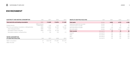### **ENVIRONMENT**

| <b>ELECTRICITY AND HEATING CONSUMPTION</b>                                         | Unit                          | 2021            | 2020            | 2019            |
|------------------------------------------------------------------------------------|-------------------------------|-----------------|-----------------|-----------------|
| Total electricity and heating consumption                                          | <b>MWh</b>                    | 114,489         | 110,876         | 111,029         |
| Energy intensity                                                                   | MWh/revenue<br>in DKK million | 4.89            | 5.83            | 5.08            |
| Electricity and heating consumption, crafting facilities<br>Solar energy generated | MWh<br>MWh                    | 62.883<br>1,347 | 56,909<br>1,141 | 56.265<br>1.307 |
| Renewable energy certificates<br>Renewable energy at crafting facilities           | <b>MWh</b><br>$\%$            | 61.536<br>100   | 55.768<br>100   | 24              |
| <b>WATER CONSUMPTION</b><br>AT CRAFTING FACILITIES                                 | Unit                          | 2021            | 2020            | 2019            |
| Water consumption<br>Water recycled                                                | m <sup>3</sup><br>$\%$        | 1.052.700<br>19 | 973.481<br>16   | 931.072<br>14   |

| <b>WASTE AT CRAFTING FACILITIES</b> | Unit       | 2021  | 2020  | 2019  |
|-------------------------------------|------------|-------|-------|-------|
| <b>Total waste</b>                  | tonnes     | 8,982 | 6,970 | 6,248 |
| Hazardous waste (not recycled)      | tonnes     | 78    | 22    | 17    |
| Industrial waste to landfill        | tonnes     | 10    | 44    | 23    |
| Municipal waste to landfill         | tonnes     | 174   | 618   | 685   |
| Recycled waste                      | tonnes     | 8.720 | 6,287 | 5,523 |
| <b>Total recycled</b>               | recycled % | 97    | 90    | 88    |
| Gypsum                              | recycled % | 100   | 100   | 100   |
| Glass                               | recycled % | 100   | 100   | 100   |
| Wax                                 | recycled % | 100   | 100   | 100   |
| Rubber                              | recycled % | 100   | 100   | 100   |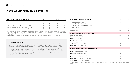### **CIRCULAR AND SUSTAINABLE JEWELLERY**

| <b>CIRCULAR AND SUSTAINABLE JEWELLERY</b>             | Unit | 2021             | 2020 | 2019            |
|-------------------------------------------------------|------|------------------|------|-----------------|
| Recycled silver and gold total <sup>1</sup>           | ℅    | 54               | 573  | 60 <sup>3</sup> |
| Man-made stones                                       | ℅    | 100 <sup>2</sup> | >99  | 599             |
| Total direct supplier spend audited by a third-party  | ℅    | >99              | >99  | >95             |
| Silver and gold grain suppliers certified by RJC/LBMA | ℅    | 100              | 100  | 100.            |
| New product suppliers screened using social criteria  | $\%$ | 100              |      |                 |

<sup>1</sup> Recycled silver and gold are precious metals that have been previously refined. Our products may contain a fraction of silver or gold coming from certified but non-recycled sources due to difficulties in separating sources in the refining process. At Pandora, we continuously work with our suppliers to fully remove the fraction of non-recycled sources.

<sup>2</sup> Excludes pearls.

<sup>3</sup> As a requirement of our sustainability-linked credit facility, we have decided to report the actual percentage of our recycled silver and gold total.

### **ACCOUNTING PRINCIPLE**

The percentage of recycled silver and gold is calculated as the share of total purchased silver and gold. Recycled silver and gold are precious metals, which have been previously refined. Our products may contain fractions of silver and gold coming from non-recycled sources due to difficulties in separating sources in the refining process. The recycled percentage is self-declared by the suppliers. Pandora has not validated the self-declarations.

The total purchased silver and gold consists of grains, components, plating solutions for Pandora in-house production, and finished goods from external production (Original Design Manufacturers and Original Equipment Manufacturers). It excludes refinery from scrap and rework metals from Pandora in-house production, production material, tooling, and machinery.

| THIRD-PARTY AUDIT SUMMARY (SMETA)                          | 2021          | 2020           |
|------------------------------------------------------------|---------------|----------------|
| Number of factories assessed                               | 16            | 1.5            |
| Number of factories with social issues identified          | 11            | 13             |
| Number of factories with environmental issues identified   | 8             | 9              |
| Total issues found                                         | 207           | 274            |
| Total issues closed                                        | 88            | 203            |
| Total issues open                                          | 1191          | 71             |
| Social issues identified through third-party audits        |               |                |
| Total social issues found                                  | 185           | 232            |
| Minor social issues closed                                 | 19            | 92             |
| Minor social issues open                                   | 17            | 32             |
| Major social issues closed                                 | 62            | 80             |
| Major social issues open                                   | 87            | 26             |
| Zero tolerance social issues closed                        | $\bigcirc$    |                |
| Zero tolerance social issues open                          | $\bigcirc$    |                |
| Environmental issues identified through third-party audits |               |                |
| Total environmental issues found                           | 22            | 42             |
| Minor environmental issues closed                          | $\mathcal{P}$ | 18             |
| Minor environmental issues open                            | 10            | $\overline{7}$ |
| Major environmental issues closed                          | 5             | 12             |
| Major environmental issues open                            | 5             | 5              |
| Zero tolerance environmental issues closed                 | 0             | $\bigcirc$     |
| Zero tolerance environmental issues open                   | 0             | 0              |

1 Of the 119 open issues, 12 have been delayed with a timebound corrective action plan in place and the remaining 107 issues are in the process of being closed.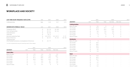### **WORKPLACE AND SOCIETY**

| LOST TIME INJURY FREQUENCY RATE (LTIFR)                                                    |        |        | Unit              | 2021         | 2020        | 2019                     |
|--------------------------------------------------------------------------------------------|--------|--------|-------------------|--------------|-------------|--------------------------|
| Crafting facilities                                                                        |        |        | Rate              | 0.20         | 0.27        | 0.15                     |
| <b>GENDER RATIO (FEMALE / MALE)</b>                                                        |        |        | Unit              | 2021         | 2020        | 2019                     |
| Total global office <sup>1</sup>                                                           |        |        | $\%$              | 66/34        | 52/48       |                          |
| Total crafting facilities                                                                  |        |        | $\%$              | 59/41        | 56/44       |                          |
| Total distribution                                                                         |        |        | $\%$              | 56/44        |             |                          |
| Total retail                                                                               |        |        | $\%$              | 95/5         |             | $\overline{\phantom{a}}$ |
| Executive Leadership Team                                                                  |        |        | $\%$              | 12.5 / 87.5  | 12.5 / 87.5 | 9/91                     |
| <b>Board of Directors</b>                                                                  |        |        | $\%$              | 43/57        | 75/25       | 50/50                    |
| Leadership team<br>(Vice President and above, including Board of Directors)                |        |        | %                 | 23/77        |             |                          |
| <sup>1</sup> For 2020, only global office was part of reporting scope for office category. |        |        |                   |              |             |                          |
|                                                                                            |        | 2021   |                   | 2020         |             | 2019                     |
| ACE COLIT                                                                                  | $11n+$ | $T0+0$ | $T \cap$ $+ \cap$ | $E(11 + im)$ | $Part$ time |                          |

| <b>AGE SPLIT</b>     | Unit | Total          | Total | Full-time | Part-time |   |
|----------------------|------|----------------|-------|-----------|-----------|---|
|                      |      |                |       |           |           |   |
| <b>Global Office</b> |      |                |       |           |           |   |
| Below 20 years       | %    | 0.3            | 0.6   | 0.4       | 2.4       |   |
| 20-29 years          | %    | 19.7           | 20.6  | 16.8      | 82.9      |   |
| 30-39 years          | %    | 47.3           | 44.9  | 47.2      | 7.3       |   |
| 40-49 years          | %    | 23.8           | 25.0  | 26.3      | 2.4       | ٠ |
| 50-59 years          | %    | 77             | 8.2   | 8.7       | 2.4       |   |
| 60-69 years          | %    | 1 <sub>2</sub> | 0.7   | 0.6       | 2.4       |   |
| Above 70 years       | %    | $\circ$        | 0.1   | $\Omega$  | 0         | ٠ |
|                      |      |                |       |           |           |   |

|                            |      | 2021       |                | 2020      |            | 2019                     |
|----------------------------|------|------------|----------------|-----------|------------|--------------------------|
| <b>AGE SPLIT</b>           | Unit | Total      | Total          | Full-time | Part-time  |                          |
| <b>Crafting facilities</b> |      |            |                |           |            |                          |
| Below 20 years             | $\%$ | 0.6        | $\circ$        | $\circ$   | $\circ$    |                          |
| 20-29 years                | $\%$ | 33.8       | 31.9           | 31.9      | $\bigcirc$ |                          |
| 30-39 years                | $\%$ | 61.4       | 63.4           | 63.4      | 0          |                          |
| 40-49 years                | $\%$ | 4.0        | 4.3            | 4.3       | $\bigcirc$ | $\overline{\phantom{a}}$ |
| 50-59 years                | %    | 0.2        | 0.3            | 0.3       | $\bigcirc$ | $\overline{\phantom{a}}$ |
| 60-69 years                | $\%$ | $\bigcirc$ | $\bigcirc$     | $\circ$   | $\circ$    |                          |
| Above 70 years             | $\%$ | $\bigcirc$ | $\circ$        | $\circ$   | $\circ$    |                          |
| <b>Distribution</b>        |      |            |                |           |            |                          |
| Below 20 years             | $\%$ | $\circ$    |                |           |            |                          |
| 20-29 years                | $\%$ | 26.5       |                |           |            |                          |
| 30-39 years                | $\%$ | 28.5       |                |           |            |                          |
| 40-49 years                | $\%$ | 24.5       |                |           |            |                          |
| 50-59 years                | $\%$ | 15.8       |                |           |            | $\overline{\phantom{a}}$ |
| 60-69 years                | $\%$ | 4.3        |                |           |            |                          |
| Above 70 years             | $\%$ | 0.4        |                |           |            |                          |
| Retail                     |      |            |                |           |            |                          |
| Below 20 years             | $\%$ | 12.2       | $\overline{a}$ |           |            |                          |
| 20-29 years                | $\%$ | 49.2       |                |           |            |                          |
| 30-39 years                | %    | 25.7       |                |           |            |                          |
| 40-49 years                | $\%$ | 7.9        |                |           |            |                          |
| 50-59 years                | $\%$ | 3.7        |                |           |            |                          |
| 60-69 years                | $\%$ | 1.2        |                |           |            |                          |
| Above 70 years             | $\%$ | 0.2        |                |           |            | $\overline{\phantom{a}}$ |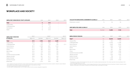### **WORKPLACE AND SOCIETY**

| <b>EMPLOYEE TURNOVER BY STAFF CATEGORY</b> | Unit          | 2021 | 2020           | 2019                     |
|--------------------------------------------|---------------|------|----------------|--------------------------|
| <b>Total</b>                               | $\frac{9}{6}$ | 29.3 | $\blacksquare$ |                          |
| Global office                              | $\%$          | 22.7 | $\sim$         |                          |
| Crafting facilities                        | $\%$          | 73   | $\sim$         |                          |
| Distribution                               | $\%$          | 25.8 | $\sim$         | $\overline{\phantom{a}}$ |
| Retail                                     | %             | 529  | $\sim$         |                          |

| <b>COLLECTIVE BARGAINING AGREEMENTS GLOBALLY</b> | Unit   | 2021   | 2020  | 2019 |
|--------------------------------------------------|--------|--------|-------|------|
| Employees covered                                | %      | 46     | 56    |      |
| <b>NEW EMPLOYEE HIRES GLOBALLY</b>               | Unit   | 2021   | 2020  | 2019 |
| <b>Total</b>                                     | Number | 12.003 | 7,763 |      |

| <b>EMPLOYEE TURNOVER</b> | 20211     |        | 20201.2   |               |           |
|--------------------------|-----------|--------|-----------|---------------|-----------|
| <b>BY REGION</b>         | Rate in % | Number | Rate in % | <b>Number</b> | Rate in % |
| <b>Total</b>             | 29.3      | 7,954  | 26.0      | 5,589         |           |
| Global office            | 22.3      | 176    | 20.5      | 109           |           |
| Crafting facilities      | 7.2       | 912    | 2.5       | 256           | 21.5      |
| North America            | 89.3      | 2,780  | 58.1      | 1,416         |           |
| Latin America            | 41.6      | 485    | 29.0      | 301           |           |
| Pacific                  | 42.9      | 282    | 43.5      | 207           |           |
| Rest of Asia             | 30.5      | 135    | 39.0      | 165           |           |
| China                    | 33.6      | 427    | 45.9      | 548           |           |
| Southern Europe and MEA  | 38.4      | 569    | 65.3      | 775           |           |
| Western Europe           | 38.8      | 441    | 61.7      | 578           |           |
| Eastern Europe           | 26.1      | 144    | 37.8      | 183           |           |
| Northern Europe          | 19.0      | 289    | 36.7      | 545           |           |
| <b>British Isles</b>     | 64.7      | 1,314  | 38.0      | 506           |           |

1 Some categories (European Distribution Centre, Thailand Distribution Centre, Global Business Services) have been included in relevant clusters (Western Europe, Rest of Asia, Eastern Europe), and 2020 data has been recalculated accordingly.

2 The reporting period was from March to December 2020.

<sup>3</sup> Turnover rate for crafting facilities in 2019 includes number from the voluntary resignation programme.

| <b>EMPLOYEES BY REGION</b> | Unit | 2021   | 2020   | 2019   |
|----------------------------|------|--------|--------|--------|
| Total $1,2$                | No.  | 30,533 | 26,003 |        |
| Global office              | No.  | 812    | 715    |        |
| Crafting facilities        | No.  | 13,996 | 11,384 |        |
| North America              | No.  | 4,589  | 3,565  |        |
| Latin America              | No.  | 1,069  | 1,334  | $\sim$ |
| Pacific                    | No.  | 825    | 662    |        |
| Rest of Asia               | No.  | 421    | 504    | $\sim$ |
| China                      | No.  | 1,186  | 1,385  |        |
| Southern Europe and MEA    | No.  | 1,451  | 1,709  | $\sim$ |
| Western Europe             | No.  | 1,263  | 1,552  |        |
| Eastern Europe             | No.  | 734    | 777    |        |
| Northern Europe            | No.  | 1,428  | 653    |        |
| <b>British Isles</b>       | No.  | 2.759  | 1.763  |        |
|                            |      |        |        |        |

1 The headcount number is the full headcount end-year, which includes all seasonal employees. The number reported in the Annual Report 2021 is the total average headcount 27,000.

2 Previous categories (European Distribution Centre, Thailand Distribution Centre, Global Business Services) have been included in relevant clusters (Western Europe, Rest of Asia, Eastern Europe), and 2020 data has been recalculated accordingly.